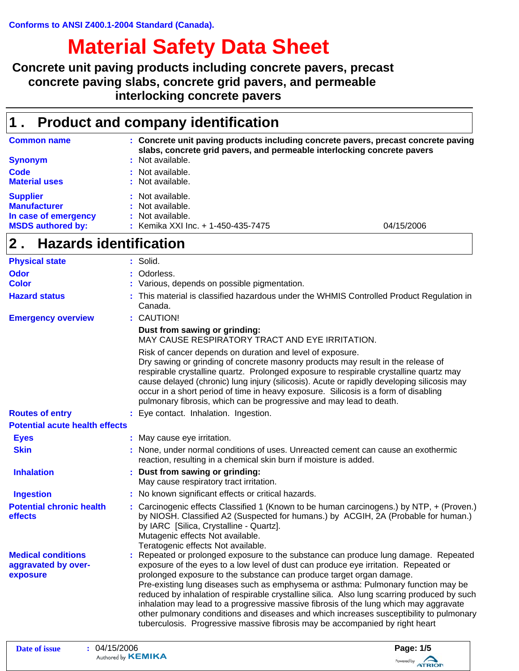# **Material Safety Data Sheet**

**Concrete unit paving products including concrete pavers, precast concrete paving slabs, concrete grid pavers, and permeable interlocking concrete pavers**

## **1 . Product and company identification**

| <b>Common name</b><br><b>Synonym</b>                                                       | : Concrete unit paving products including concrete pavers, precast concrete paving<br>slabs, concrete grid pavers, and permeable interlocking concrete pavers<br>: Not available. |            |
|--------------------------------------------------------------------------------------------|-----------------------------------------------------------------------------------------------------------------------------------------------------------------------------------|------------|
| Code<br><b>Material uses</b>                                                               | : Not available.<br>: Not available.                                                                                                                                              |            |
| <b>Supplier</b><br><b>Manufacturer</b><br>In case of emergency<br><b>MSDS authored by:</b> | : Not available.<br>: Not available.<br>: Not available.<br>: Kemika XXI Inc. + 1-450-435-7475                                                                                    | 04/15/2006 |

# **Hazards identification 2 .**

| <b>Physical state</b>                                        | : Solid.                                                                                                                                                                                                                                                                                                                                                                                                                                                                                                                                                                                                                                                                                                 |
|--------------------------------------------------------------|----------------------------------------------------------------------------------------------------------------------------------------------------------------------------------------------------------------------------------------------------------------------------------------------------------------------------------------------------------------------------------------------------------------------------------------------------------------------------------------------------------------------------------------------------------------------------------------------------------------------------------------------------------------------------------------------------------|
| <b>Odor</b>                                                  | Odorless.                                                                                                                                                                                                                                                                                                                                                                                                                                                                                                                                                                                                                                                                                                |
| <b>Color</b>                                                 | Various, depends on possible pigmentation.                                                                                                                                                                                                                                                                                                                                                                                                                                                                                                                                                                                                                                                               |
| <b>Hazard status</b>                                         | This material is classified hazardous under the WHMIS Controlled Product Regulation in<br>Canada.                                                                                                                                                                                                                                                                                                                                                                                                                                                                                                                                                                                                        |
| <b>Emergency overview</b>                                    | : CAUTION!                                                                                                                                                                                                                                                                                                                                                                                                                                                                                                                                                                                                                                                                                               |
|                                                              | Dust from sawing or grinding:<br>MAY CAUSE RESPIRATORY TRACT AND EYE IRRITATION.                                                                                                                                                                                                                                                                                                                                                                                                                                                                                                                                                                                                                         |
|                                                              | Risk of cancer depends on duration and level of exposure.<br>Dry sawing or grinding of concrete masonry products may result in the release of<br>respirable crystalline quartz. Prolonged exposure to respirable crystalline quartz may<br>cause delayed (chronic) lung injury (silicosis). Acute or rapidly developing silicosis may<br>occur in a short period of time in heavy exposure. Silicosis is a form of disabling<br>pulmonary fibrosis, which can be progressive and may lead to death.                                                                                                                                                                                                      |
| <b>Routes of entry</b>                                       | : Eye contact. Inhalation. Ingestion.                                                                                                                                                                                                                                                                                                                                                                                                                                                                                                                                                                                                                                                                    |
| <b>Potential acute health effects</b>                        |                                                                                                                                                                                                                                                                                                                                                                                                                                                                                                                                                                                                                                                                                                          |
| <b>Eyes</b>                                                  | : May cause eye irritation.                                                                                                                                                                                                                                                                                                                                                                                                                                                                                                                                                                                                                                                                              |
| <b>Skin</b>                                                  | : None, under normal conditions of uses. Unreacted cement can cause an exothermic<br>reaction, resulting in a chemical skin burn if moisture is added.                                                                                                                                                                                                                                                                                                                                                                                                                                                                                                                                                   |
| <b>Inhalation</b>                                            | : Dust from sawing or grinding:<br>May cause respiratory tract irritation.                                                                                                                                                                                                                                                                                                                                                                                                                                                                                                                                                                                                                               |
| <b>Ingestion</b>                                             | : No known significant effects or critical hazards.                                                                                                                                                                                                                                                                                                                                                                                                                                                                                                                                                                                                                                                      |
| <b>Potential chronic health</b><br>effects                   | : Carcinogenic effects Classified 1 (Known to be human carcinogens.) by NTP, + (Proven.)<br>by NIOSH. Classified A2 (Suspected for humans.) by ACGIH, 2A (Probable for human.)<br>by IARC [Silica, Crystalline - Quartz].<br>Mutagenic effects Not available.<br>Teratogenic effects Not available.                                                                                                                                                                                                                                                                                                                                                                                                      |
| <b>Medical conditions</b><br>aggravated by over-<br>exposure | Repeated or prolonged exposure to the substance can produce lung damage. Repeated<br>exposure of the eyes to a low level of dust can produce eye irritation. Repeated or<br>prolonged exposure to the substance can produce target organ damage.<br>Pre-existing lung diseases such as emphysema or asthma: Pulmonary function may be<br>reduced by inhalation of respirable crystalline silica. Also lung scarring produced by such<br>inhalation may lead to a progressive massive fibrosis of the lung which may aggravate<br>other pulmonary conditions and diseases and which increases susceptibility to pulmonary<br>tuberculosis. Progressive massive fibrosis may be accompanied by right heart |

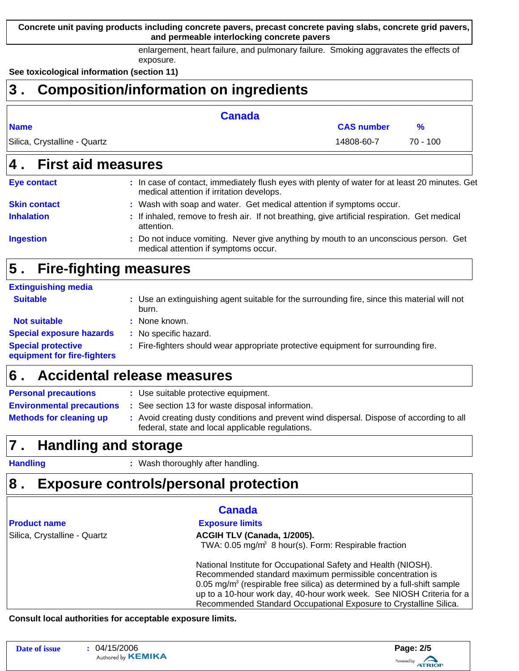**Concrete unit paving products including concrete pavers, precast concrete paving slabs, concrete grid pavers, and permeable interlocking concrete pavers**

> enlargement, heart failure, and pulmonary failure. Smoking aggravates the effects of exposure.

**See toxicological information (section 11)**

| 3                            | <b>Composition/information on ingredients</b>                                                  |                   |            |
|------------------------------|------------------------------------------------------------------------------------------------|-------------------|------------|
|                              | <b>Canada</b>                                                                                  |                   |            |
| <b>Name</b>                  |                                                                                                | <b>CAS number</b> | %          |
| Silica, Crystalline - Quartz |                                                                                                | 14808-60-7        | $70 - 100$ |
| 4. First aid measures        |                                                                                                |                   |            |
| <b>Eye contact</b>           | : In case of contact, immediately flush eyes with plenty of water for at least 20 minutes. Get |                   |            |

|                     | medical attention if irritation develops.                                                                   |
|---------------------|-------------------------------------------------------------------------------------------------------------|
| <b>Skin contact</b> | : Wash with soap and water. Get medical attention if symptoms occur.                                        |
| <b>Inhalation</b>   | : If inhaled, remove to fresh air. If not breathing, give artificial respiration. Get medical<br>attention. |
| <b>Ingestion</b>    | : Do not induce vomiting. Never give anything by mouth to an unconscious person. Get                        |

medical attention if symptoms occur.

## **Fire-fighting measures 5 .**

## **Extinguishing media**

| <b>Suitable</b>                                          | : Use an extinguishing agent suitable for the surrounding fire, since this material will not<br>burn. |
|----------------------------------------------------------|-------------------------------------------------------------------------------------------------------|
| <b>Not suitable</b>                                      | : None known.                                                                                         |
| <b>Special exposure hazards</b>                          | : No specific hazard.                                                                                 |
| <b>Special protective</b><br>equipment for fire-fighters | : Fire-fighters should wear appropriate protective equipment for surrounding fire.                    |

#### **Accidental release measures 6 .**

| <b>Personal precautions</b>                                                                                                                                                     | : Use suitable protective equipment.             |  |
|---------------------------------------------------------------------------------------------------------------------------------------------------------------------------------|--------------------------------------------------|--|
| <b>Environmental precautions</b>                                                                                                                                                | : See section 13 for waste disposal information. |  |
| : Avoid creating dusty conditions and prevent wind dispersal. Dispose of according to all<br><b>Methods for cleaning up</b><br>federal, state and local applicable regulations. |                                                  |  |

## **Handling and storage 7 .**

**Handling :**

: Wash thoroughly after handling.

## **Exposure controls/personal protection 8 .**

|  |  | <b>Product name</b> |  |
|--|--|---------------------|--|
|  |  |                     |  |

## **Canada**

**Exposure limits** 

## Silica, Crystalline - Quartz **ACGIH TLV (Canada, 1/2005).**

TWA:  $0.05 \text{ mg/m}^3$  8 hour(s). Form: Respirable fraction

National Institute for Occupational Safety and Health (NIOSH). Recommended standard maximum permissible concentration is 0.05 mg/m $3$  (respirable free silica) as determined by a full-shift sample up to a 10-hour work day, 40-hour work week. See NIOSH Criteria for a Recommended Standard Occupational Exposure to Crystalline Silica.

**Consult local authorities for acceptable exposure limits.**

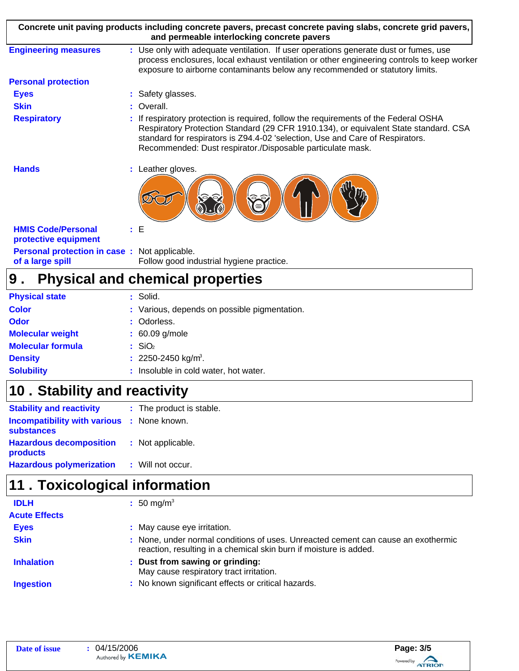| Concrete unit paving products including concrete pavers, precast concrete paving slabs, concrete grid pavers,<br>and permeable interlocking concrete pavers |                                                                                                                                                                                                                                                                                                                           |  |
|-------------------------------------------------------------------------------------------------------------------------------------------------------------|---------------------------------------------------------------------------------------------------------------------------------------------------------------------------------------------------------------------------------------------------------------------------------------------------------------------------|--|
| <b>Engineering measures</b>                                                                                                                                 | : Use only with adequate ventilation. If user operations generate dust or fumes, use<br>process enclosures, local exhaust ventilation or other engineering controls to keep worker<br>exposure to airborne contaminants below any recommended or statutory limits.                                                        |  |
| <b>Personal protection</b>                                                                                                                                  |                                                                                                                                                                                                                                                                                                                           |  |
| <b>Eyes</b>                                                                                                                                                 | : Safety glasses.                                                                                                                                                                                                                                                                                                         |  |
| <b>Skin</b>                                                                                                                                                 | : Overall.                                                                                                                                                                                                                                                                                                                |  |
| <b>Respiratory</b>                                                                                                                                          | If respiratory protection is required, follow the requirements of the Federal OSHA<br>Respiratory Protection Standard (29 CFR 1910.134), or equivalent State standard. CSA<br>standard for respirators is Z94.4-02 'selection, Use and Care of Respirators.<br>Recommended: Dust respirator./Disposable particulate mask. |  |
| <b>Hands</b>                                                                                                                                                | : Leather gloves.                                                                                                                                                                                                                                                                                                         |  |
| <b>HMIS Code/Personal</b><br>protective equipment                                                                                                           | : E                                                                                                                                                                                                                                                                                                                       |  |
| <b>Personal protection in case:</b> Not applicable.<br>of a large spill                                                                                     | Follow good industrial hygiene practice.                                                                                                                                                                                                                                                                                  |  |

## **Physical and chemical properties 9 .**

| <b>Physical state</b>    | : Solid.                                     |
|--------------------------|----------------------------------------------|
| <b>Color</b>             | : Various, depends on possible pigmentation. |
| <b>Odor</b>              | : Odorless.                                  |
| <b>Molecular weight</b>  | $: 60.09$ g/mole                             |
| <b>Molecular formula</b> | $\therefore$ SiO <sub>2</sub>                |
| <b>Density</b>           | : 2250-2450 kg/m <sup>3</sup> .              |
| <b>Solubility</b>        | : Insoluble in cold water, hot water.        |

# **Stability and reactivity 10 .**

| <b>Stability and reactivity</b>                                        | : The product is stable. |  |
|------------------------------------------------------------------------|--------------------------|--|
| <b>Incompatibility with various : None known.</b><br><b>substances</b> |                          |  |
| <b>Hazardous decomposition</b><br>products                             | : Not applicable.        |  |
| <b>Hazardous polymerization</b>                                        | : Will not occur.        |  |

# **11 . Toxicological information**

| <b>IDLH</b>          | : 50 mg/m <sup>3</sup>                                                                                                                                 |
|----------------------|--------------------------------------------------------------------------------------------------------------------------------------------------------|
| <b>Acute Effects</b> |                                                                                                                                                        |
| <b>Eyes</b>          | : May cause eye irritation.                                                                                                                            |
| <b>Skin</b>          | : None, under normal conditions of uses. Unreacted cement can cause an exothermic<br>reaction, resulting in a chemical skin burn if moisture is added. |
| <b>Inhalation</b>    | : Dust from sawing or grinding:<br>May cause respiratory tract irritation.                                                                             |
| <b>Ingestion</b>     | : No known significant effects or critical hazards.                                                                                                    |
|                      |                                                                                                                                                        |

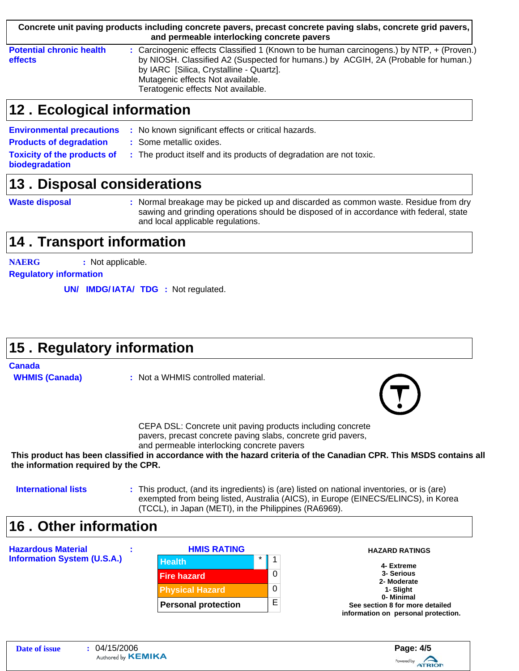|                                                   | Concrete unit paving products including concrete pavers, precast concrete paving slabs, concrete grid pavers,<br>and permeable interlocking concrete pavers                                                                                                                                          |
|---------------------------------------------------|------------------------------------------------------------------------------------------------------------------------------------------------------------------------------------------------------------------------------------------------------------------------------------------------------|
| <b>Potential chronic health</b><br><b>effects</b> | : Carcinogenic effects Classified 1 (Known to be human carcinogens.) by NTP, + (Proven.)<br>by NIOSH. Classified A2 (Suspected for humans.) by ACGIH, 2A (Probable for human.)<br>by IARC [Silica, Crystalline - Quartz].<br>Mutagenic effects Not available.<br>Teratogenic effects. Not available. |

## **Ecological information 12 .**

|                                                      | <b>Environmental precautions</b> : No known significant effects or critical hazards. |
|------------------------------------------------------|--------------------------------------------------------------------------------------|
| <b>Products of degradation</b>                       | : Some metallic oxides.                                                              |
| <b>Toxicity of the products of</b><br>biodegradation | : The product itself and its products of degradation are not toxic.                  |

# **13. Disposal considerations**

**Waste disposal**

Normal breakage may be picked up and discarded as common waste. Residue from dry **:** sawing and grinding operations should be disposed of in accordance with federal, state and local applicable regulations.

# **14 . Transport information**

**NAERG :** Not applicable.

**Regulatory information**

**UN/ IMDG/IATA/ TDG** : Not regulated.

# **Regulatory information 15 .**

## **Canada**

**WHMIS (Canada)**

**:** Not a WHMIS controlled material.



CEPA DSL: Concrete unit paving products including concrete pavers, precast concrete paving slabs, concrete grid pavers, and permeable interlocking concrete pavers

**This product has been classified in accordance with the hazard criteria of the Canadian CPR. This MSDS contains all the information required by the CPR.**

## **International lists :**

This product, (and its ingredients) is (are) listed on national inventories, or is (are) exempted from being listed, Australia (AICS), in Europe (EINECS/ELINCS), in Korea (TCCL), in Japan (METI), in the Philippines (RA6969).

# **Other information 16 .**

| <b>Hazardous Material</b>          | <b>HMIS RATING</b>         |               | <b>HAZARD RATINGS</b>                         |
|------------------------------------|----------------------------|---------------|-----------------------------------------------|
| <b>Information System (U.S.A.)</b> | <b>Health</b>              | $\star$<br>-1 | 4- Extreme                                    |
|                                    | <b>Fire hazard</b>         | 0             | 3- Serious<br>2- Moderate                     |
|                                    | <b>Physical Hazard</b>     | 0             | 1- Slight                                     |
|                                    | <b>Personal protection</b> | E             | 0- Minimal<br>See section 8 for more detailed |
|                                    |                            |               | information on personal protection.           |

Powered by **ATRION**